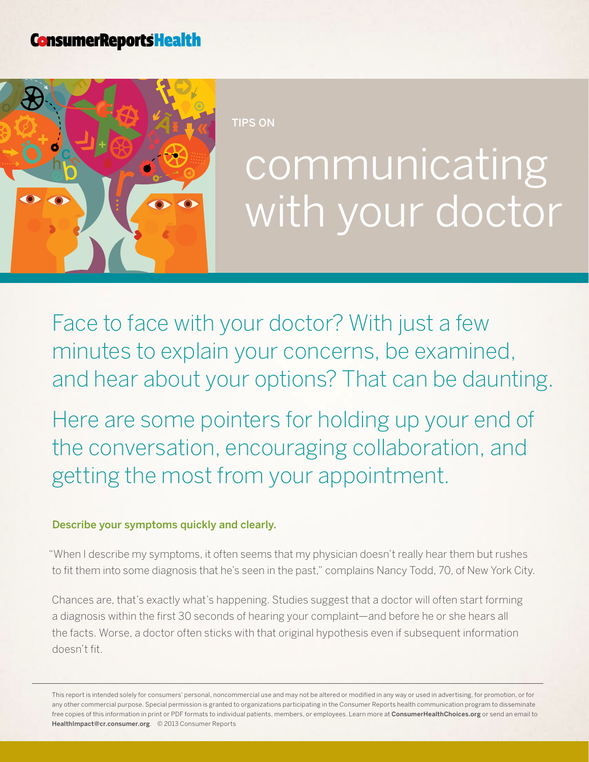# **ConsumerReportsHealth**



tIPS ON

# communicating with your doctor

Face to face with your doctor? With just a few minutes to explain your concerns, be examined, and hear about your options? That can be daunting.

Here are some pointers for holding up your end of the conversation, encouraging collaboration, and getting the most from your appointment.

## Describe your symptoms quickly and clearly.

"When I describe my symptoms, it often seems that my physician doesn't really hear them but rushes to fit them into some diagnosis that he's seen in the past," complains Nancy Todd, 70, of New York City.

Chances are, that's exactly what's happening. Studies suggest that a doctor will often start forming a diagnosis within the first 30 seconds of hearing your complaint—and before he or she hears all the facts. Worse, a doctor often sticks with that original hypothesis even if subsequent information doesn't fit.

This report is intended solely for consumers' personal, noncommercial use and may not be altered or modified in any way or used in advertising, for promotion, or for any other commercial purpose. Special permission is granted to organizations participating in the Consumer Reports health communication program to disseminate free copies of this information in print or PDF formats to individual patients, members, or employees. Learn more at [ConsumerHealthChoices.org](http://www.ConsumerHealthChoices.org) or send an email to HealthImpact@cr.consumer.org. © 2013 Consumer Reports